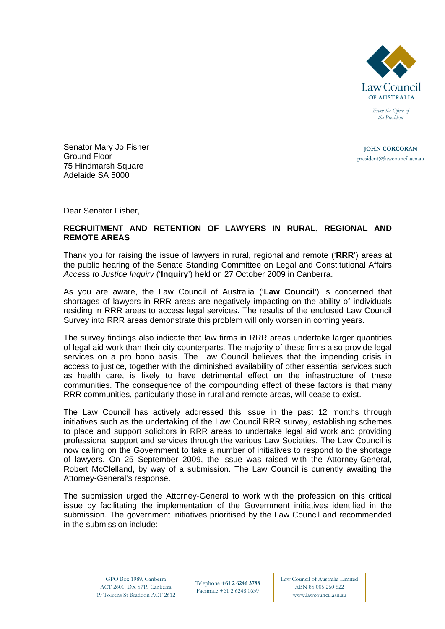

*the President* 

**JOHN CORCORAN** president@lawcouncil.asn.au

Senator Mary Jo Fisher Ground Floor 75 Hindmarsh Square Adelaide SA 5000

Dear Senator Fisher,

## **RECRUITMENT AND RETENTION OF LAWYERS IN RURAL, REGIONAL AND REMOTE AREAS**

Thank you for raising the issue of lawyers in rural, regional and remote ('**RRR**') areas at the public hearing of the Senate Standing Committee on Legal and Constitutional Affairs *Access to Justice Inquiry* ('**Inquiry**') held on 27 October 2009 in Canberra.

As you are aware, the Law Council of Australia ('**Law Council**') is concerned that shortages of lawyers in RRR areas are negatively impacting on the ability of individuals residing in RRR areas to access legal services. The results of the enclosed Law Council Survey into RRR areas demonstrate this problem will only worsen in coming years.

The survey findings also indicate that law firms in RRR areas undertake larger quantities of legal aid work than their city counterparts. The majority of these firms also provide legal services on a pro bono basis. The Law Council believes that the impending crisis in access to justice, together with the diminished availability of other essential services such as health care, is likely to have detrimental effect on the infrastructure of these communities. The consequence of the compounding effect of these factors is that many RRR communities, particularly those in rural and remote areas, will cease to exist.

The Law Council has actively addressed this issue in the past 12 months through initiatives such as the undertaking of the Law Council RRR survey, establishing schemes to place and support solicitors in RRR areas to undertake legal aid work and providing professional support and services through the various Law Societies. The Law Council is now calling on the Government to take a number of initiatives to respond to the shortage of lawyers. On 25 September 2009, the issue was raised with the Attorney-General, Robert McClelland, by way of a submission. The Law Council is currently awaiting the Attorney-General's response.

The submission urged the Attorney-General to work with the profession on this critical issue by facilitating the implementation of the Government initiatives identified in the submission. The government initiatives prioritised by the Law Council and recommended in the submission include: